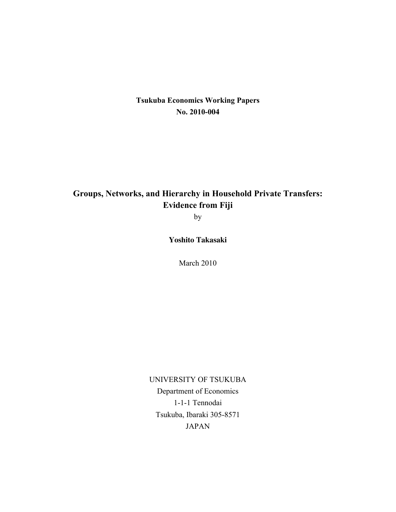## **Tsukuba Economics Working Papers No. 2010-004**

# **Groups, Networks, and Hierarchy in Household Private Transfers: Evidence from Fiji**

by

**Yoshito Takasaki**

March 2010

UNIVERSITY OF TSUKUBA Department of Economics 1-1-1 Tennodai Tsukuba, Ibaraki 305-8571 JAPAN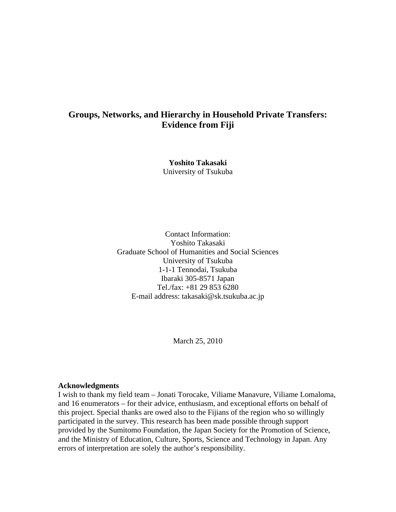## **Groups, Networks, and Hierarchy in Household Private Transfers: Evidence from Fiji**

**Yoshito Takasaki**  University of Tsukuba

Contact Information: Yoshito Takasaki Graduate School of Humanities and Social Sciences University of Tsukuba 1-1-1 Tennodai, Tsukuba Ibaraki 305-8571 Japan Tel./fax: +81 29 853 6280 E-mail address: takasaki@sk.tsukuba.ac.jp

March 25, 2010

#### **Acknowledgments**

I wish to thank my field team – Jonati Torocake, Viliame Manavure, Viliame Lomaloma, and 16 enumerators – for their advice, enthusiasm, and exceptional efforts on behalf of this project. Special thanks are owed also to the Fijians of the region who so willingly participated in the survey. This research has been made possible through support provided by the Sumitomo Foundation, the Japan Society for the Promotion of Science, and the Ministry of Education, Culture, Sports, Science and Technology in Japan. Any errors of interpretation are solely the author's responsibility.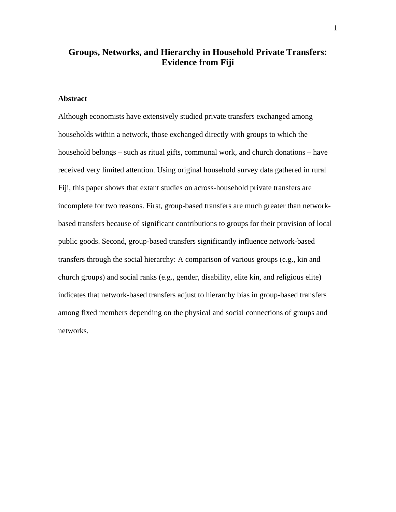## **Groups, Networks, and Hierarchy in Household Private Transfers: Evidence from Fiji**

### **Abstract**

Although economists have extensively studied private transfers exchanged among households within a network, those exchanged directly with groups to which the household belongs – such as ritual gifts, communal work, and church donations – have received very limited attention. Using original household survey data gathered in rural Fiji, this paper shows that extant studies on across-household private transfers are incomplete for two reasons. First, group-based transfers are much greater than networkbased transfers because of significant contributions to groups for their provision of local public goods. Second, group-based transfers significantly influence network-based transfers through the social hierarchy: A comparison of various groups (e.g., kin and church groups) and social ranks (e.g., gender, disability, elite kin, and religious elite) indicates that network-based transfers adjust to hierarchy bias in group-based transfers among fixed members depending on the physical and social connections of groups and networks.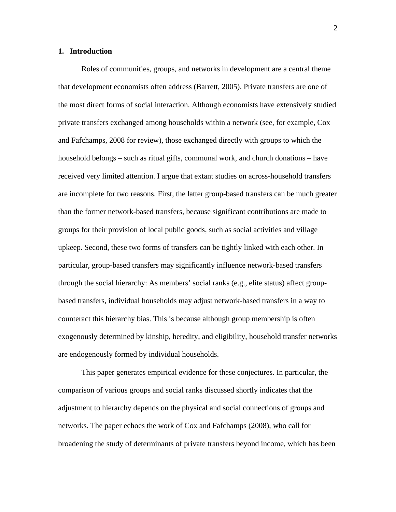#### **1. Introduction**

Roles of communities, groups, and networks in development are a central theme that development economists often address (Barrett, 2005). Private transfers are one of the most direct forms of social interaction. Although economists have extensively studied private transfers exchanged among households within a network (see, for example, Cox and Fafchamps, 2008 for review), those exchanged directly with groups to which the household belongs – such as ritual gifts, communal work, and church donations – have received very limited attention. I argue that extant studies on across-household transfers are incomplete for two reasons. First, the latter group-based transfers can be much greater than the former network-based transfers, because significant contributions are made to groups for their provision of local public goods, such as social activities and village upkeep. Second, these two forms of transfers can be tightly linked with each other. In particular, group-based transfers may significantly influence network-based transfers through the social hierarchy: As members' social ranks (e.g., elite status) affect groupbased transfers, individual households may adjust network-based transfers in a way to counteract this hierarchy bias. This is because although group membership is often exogenously determined by kinship, heredity, and eligibility, household transfer networks are endogenously formed by individual households.

This paper generates empirical evidence for these conjectures. In particular, the comparison of various groups and social ranks discussed shortly indicates that the adjustment to hierarchy depends on the physical and social connections of groups and networks. The paper echoes the work of Cox and Fafchamps (2008), who call for broadening the study of determinants of private transfers beyond income, which has been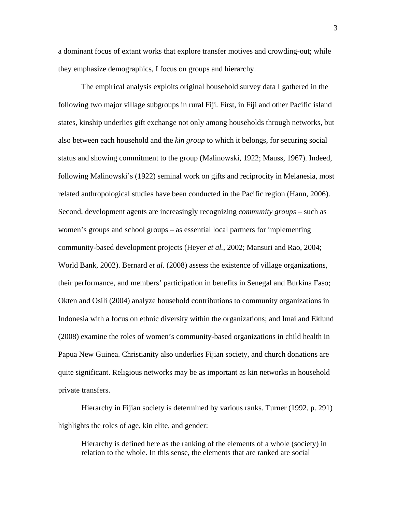a dominant focus of extant works that explore transfer motives and crowding-out; while they emphasize demographics, I focus on groups and hierarchy.

The empirical analysis exploits original household survey data I gathered in the following two major village subgroups in rural Fiji. First, in Fiji and other Pacific island states, kinship underlies gift exchange not only among households through networks, but also between each household and the *kin group* to which it belongs, for securing social status and showing commitment to the group (Malinowski, 1922; Mauss, 1967). Indeed, following Malinowski's (1922) seminal work on gifts and reciprocity in Melanesia, most related anthropological studies have been conducted in the Pacific region (Hann, 2006). Second, development agents are increasingly recognizing *community groups* – such as women's groups and school groups – as essential local partners for implementing community-based development projects (Heyer *et al.*, 2002; Mansuri and Rao, 2004; World Bank, 2002). Bernard *et al.* (2008) assess the existence of village organizations, their performance, and members' participation in benefits in Senegal and Burkina Faso; Okten and Osili (2004) analyze household contributions to community organizations in Indonesia with a focus on ethnic diversity within the organizations; and Imai and Eklund (2008) examine the roles of women's community-based organizations in child health in Papua New Guinea. Christianity also underlies Fijian society, and church donations are quite significant. Religious networks may be as important as kin networks in household private transfers.

Hierarchy in Fijian society is determined by various ranks. Turner (1992, p. 291) highlights the roles of age, kin elite, and gender:

Hierarchy is defined here as the ranking of the elements of a whole (society) in relation to the whole. In this sense, the elements that are ranked are social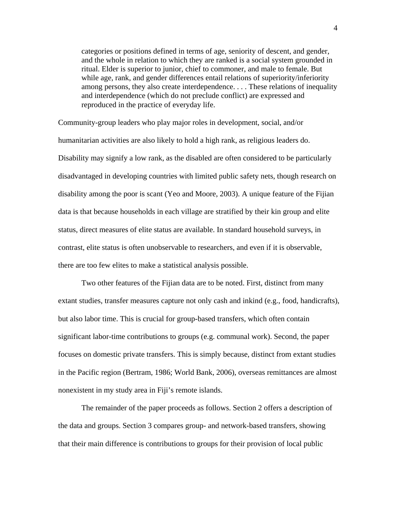categories or positions defined in terms of age, seniority of descent, and gender, and the whole in relation to which they are ranked is a social system grounded in ritual. Elder is superior to junior, chief to commoner, and male to female. But while age, rank, and gender differences entail relations of superiority/inferiority among persons, they also create interdependence. . . . These relations of inequality and interdependence (which do not preclude conflict) are expressed and reproduced in the practice of everyday life.

Community-group leaders who play major roles in development, social, and/or humanitarian activities are also likely to hold a high rank, as religious leaders do. Disability may signify a low rank, as the disabled are often considered to be particularly disadvantaged in developing countries with limited public safety nets, though research on disability among the poor is scant (Yeo and Moore, 2003). A unique feature of the Fijian data is that because households in each village are stratified by their kin group and elite status, direct measures of elite status are available. In standard household surveys, in contrast, elite status is often unobservable to researchers, and even if it is observable, there are too few elites to make a statistical analysis possible.

Two other features of the Fijian data are to be noted. First, distinct from many extant studies, transfer measures capture not only cash and inkind (e.g., food, handicrafts), but also labor time. This is crucial for group-based transfers, which often contain significant labor-time contributions to groups (e.g. communal work). Second, the paper focuses on domestic private transfers. This is simply because, distinct from extant studies in the Pacific region (Bertram, 1986; World Bank, 2006), overseas remittances are almost nonexistent in my study area in Fiji's remote islands.

The remainder of the paper proceeds as follows. Section 2 offers a description of the data and groups. Section 3 compares group- and network-based transfers, showing that their main difference is contributions to groups for their provision of local public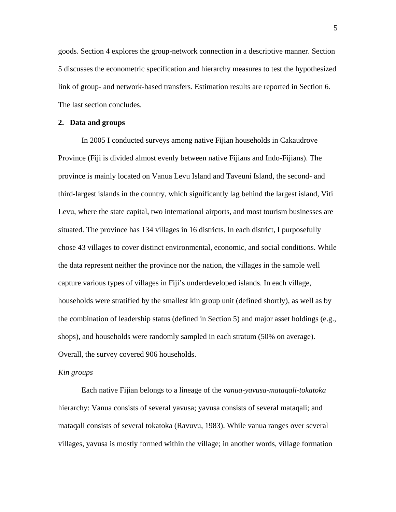goods. Section 4 explores the group-network connection in a descriptive manner. Section 5 discusses the econometric specification and hierarchy measures to test the hypothesized link of group- and network-based transfers. Estimation results are reported in Section 6. The last section concludes.

#### **2. Data and groups**

In 2005 I conducted surveys among native Fijian households in Cakaudrove Province (Fiji is divided almost evenly between native Fijians and Indo-Fijians). The province is mainly located on Vanua Levu Island and Taveuni Island, the second- and third-largest islands in the country, which significantly lag behind the largest island, Viti Levu, where the state capital, two international airports, and most tourism businesses are situated. The province has 134 villages in 16 districts. In each district, I purposefully chose 43 villages to cover distinct environmental, economic, and social conditions. While the data represent neither the province nor the nation, the villages in the sample well capture various types of villages in Fiji's underdeveloped islands. In each village, households were stratified by the smallest kin group unit (defined shortly), as well as by the combination of leadership status (defined in Section 5) and major asset holdings (e.g., shops), and households were randomly sampled in each stratum (50% on average). Overall, the survey covered 906 households.

#### *Kin groups*

Each native Fijian belongs to a lineage of the *vanua*-*yavusa*-*mataqali*-*tokatoka* hierarchy: Vanua consists of several yavusa; yavusa consists of several mataqali; and mataqali consists of several tokatoka (Ravuvu, 1983). While vanua ranges over several villages, yavusa is mostly formed within the village; in another words, village formation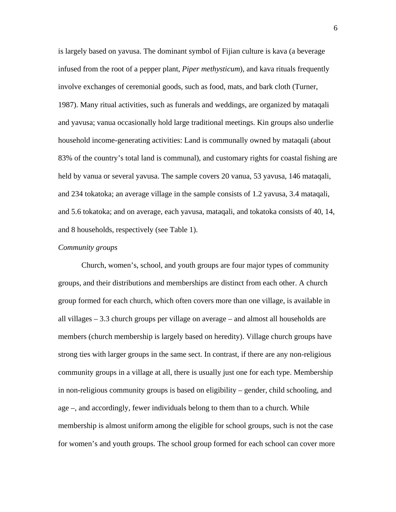is largely based on yavusa. The dominant symbol of Fijian culture is kava (a beverage infused from the root of a pepper plant, *Piper methysticum*), and kava rituals frequently involve exchanges of ceremonial goods, such as food, mats, and bark cloth (Turner, 1987). Many ritual activities, such as funerals and weddings, are organized by mataqali and yavusa; vanua occasionally hold large traditional meetings. Kin groups also underlie household income-generating activities: Land is communally owned by mataqali (about 83% of the country's total land is communal), and customary rights for coastal fishing are held by vanua or several yavusa. The sample covers 20 vanua, 53 yavusa, 146 mataqali, and 234 tokatoka; an average village in the sample consists of 1.2 yavusa, 3.4 mataqali, and 5.6 tokatoka; and on average, each yavusa, mataqali, and tokatoka consists of 40, 14, and 8 households, respectively (see Table 1).

#### *Community groups*

Church, women's, school, and youth groups are four major types of community groups, and their distributions and memberships are distinct from each other. A church group formed for each church, which often covers more than one village, is available in all villages – 3.3 church groups per village on average – and almost all households are members (church membership is largely based on heredity). Village church groups have strong ties with larger groups in the same sect. In contrast, if there are any non-religious community groups in a village at all, there is usually just one for each type. Membership in non-religious community groups is based on eligibility – gender, child schooling, and age –, and accordingly, fewer individuals belong to them than to a church. While membership is almost uniform among the eligible for school groups, such is not the case for women's and youth groups. The school group formed for each school can cover more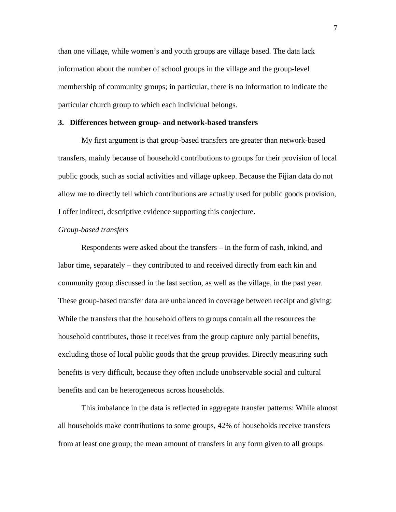than one village, while women's and youth groups are village based. The data lack information about the number of school groups in the village and the group-level membership of community groups; in particular, there is no information to indicate the particular church group to which each individual belongs.

#### **3. Differences between group- and network-based transfers**

My first argument is that group-based transfers are greater than network-based transfers, mainly because of household contributions to groups for their provision of local public goods, such as social activities and village upkeep. Because the Fijian data do not allow me to directly tell which contributions are actually used for public goods provision, I offer indirect, descriptive evidence supporting this conjecture.

#### *Group-based transfers*

Respondents were asked about the transfers – in the form of cash, inkind, and labor time, separately – they contributed to and received directly from each kin and community group discussed in the last section, as well as the village, in the past year. These group-based transfer data are unbalanced in coverage between receipt and giving: While the transfers that the household offers to groups contain all the resources the household contributes, those it receives from the group capture only partial benefits, excluding those of local public goods that the group provides. Directly measuring such benefits is very difficult, because they often include unobservable social and cultural benefits and can be heterogeneous across households.

This imbalance in the data is reflected in aggregate transfer patterns: While almost all households make contributions to some groups, 42% of households receive transfers from at least one group; the mean amount of transfers in any form given to all groups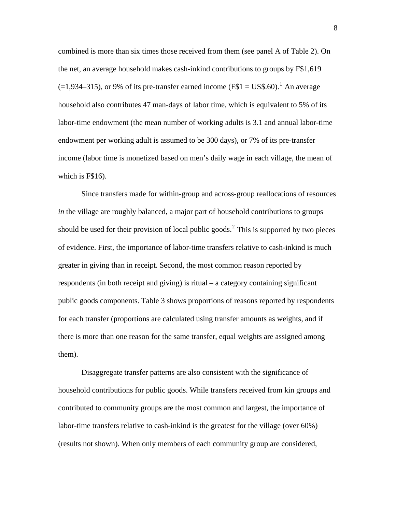combined is more than six times those received from them (see panel A of Table 2). On the net, an average household makes cash-inkind contributions to groups by F\$1,619  $(=1,934-315)$  $(=1,934-315)$  $(=1,934-315)$ , or 9% of its pre-transfer earned income (F\$1 = US\$.60).<sup>1</sup> An average household also contributes 47 man-days of labor time, which is equivalent to 5% of its labor-time endowment (the mean number of working adults is 3.1 and annual labor-time endowment per working adult is assumed to be 300 days), or 7% of its pre-transfer income (labor time is monetized based on men's daily wage in each village, the mean of which is F\$16).

Since transfers made for within-group and across-group reallocations of resources *in* the village are roughly balanced, a major part of household contributions to groups should be used for their provision of local public goods.<sup>[2](#page-30-1)</sup> This is supported by two pieces of evidence. First, the importance of labor-time transfers relative to cash-inkind is much greater in giving than in receipt. Second, the most common reason reported by respondents (in both receipt and giving) is ritual – a category containing significant public goods components. Table 3 shows proportions of reasons reported by respondents for each transfer (proportions are calculated using transfer amounts as weights, and if there is more than one reason for the same transfer, equal weights are assigned among them).

Disaggregate transfer patterns are also consistent with the significance of household contributions for public goods. While transfers received from kin groups and contributed to community groups are the most common and largest, the importance of labor-time transfers relative to cash-inkind is the greatest for the village (over 60%) (results not shown). When only members of each community group are considered,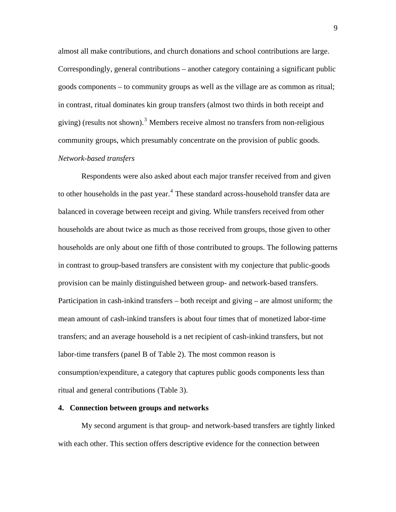almost all make contributions, and church donations and school contributions are large. Correspondingly, general contributions – another category containing a significant public goods components – to community groups as well as the village are as common as ritual; in contrast, ritual dominates kin group transfers (almost two thirds in both receipt and giving) (results not shown).<sup>[3](#page-30-1)</sup> Members receive almost no transfers from non-religious community groups, which presumably concentrate on the provision of public goods. *Network-based transfers* 

Respondents were also asked about each major transfer received from and given to other households in the past year.<sup>[4](#page-30-1)</sup> These standard across-household transfer data are balanced in coverage between receipt and giving. While transfers received from other households are about twice as much as those received from groups, those given to other households are only about one fifth of those contributed to groups. The following patterns in contrast to group-based transfers are consistent with my conjecture that public-goods provision can be mainly distinguished between group- and network-based transfers. Participation in cash-inkind transfers – both receipt and giving – are almost uniform; the mean amount of cash-inkind transfers is about four times that of monetized labor-time transfers; and an average household is a net recipient of cash-inkind transfers, but not labor-time transfers (panel B of Table 2). The most common reason is consumption/expenditure, a category that captures public goods components less than ritual and general contributions (Table 3).

#### **4. Connection between groups and networks**

My second argument is that group- and network-based transfers are tightly linked with each other. This section offers descriptive evidence for the connection between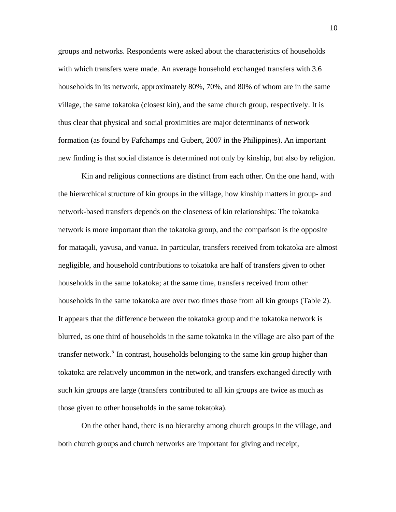groups and networks. Respondents were asked about the characteristics of households with which transfers were made. An average household exchanged transfers with 3.6 households in its network, approximately 80%, 70%, and 80% of whom are in the same village, the same tokatoka (closest kin), and the same church group, respectively. It is thus clear that physical and social proximities are major determinants of network formation (as found by Fafchamps and Gubert, 2007 in the Philippines). An important new finding is that social distance is determined not only by kinship, but also by religion.

Kin and religious connections are distinct from each other. On the one hand, with the hierarchical structure of kin groups in the village, how kinship matters in group- and network-based transfers depends on the closeness of kin relationships: The tokatoka network is more important than the tokatoka group, and the comparison is the opposite for mataqali, yavusa, and vanua. In particular, transfers received from tokatoka are almost negligible, and household contributions to tokatoka are half of transfers given to other households in the same tokatoka; at the same time, transfers received from other households in the same tokatoka are over two times those from all kin groups (Table 2). It appears that the difference between the tokatoka group and the tokatoka network is blurred, as one third of households in the same tokatoka in the village are also part of the transfer network.<sup>[5](#page-30-1)</sup> In contrast, households belonging to the same kin group higher than tokatoka are relatively uncommon in the network, and transfers exchanged directly with such kin groups are large (transfers contributed to all kin groups are twice as much as those given to other households in the same tokatoka).

On the other hand, there is no hierarchy among church groups in the village, and both church groups and church networks are important for giving and receipt,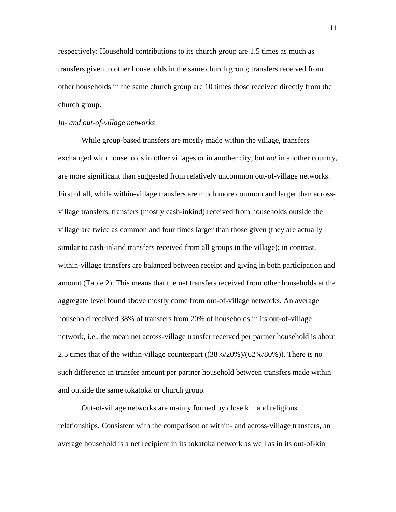respectively: Household contributions to its church group are 1.5 times as much as transfers given to other households in the same church group; transfers received from other households in the same church group are 10 times those received directly from the church group.

#### *In- and out-of-village networks*

While group-based transfers are mostly made within the village, transfers exchanged with households in other villages or in another city, but *not* in another country, are more significant than suggested from relatively uncommon out-of-village networks. First of all, while within-village transfers are much more common and larger than acrossvillage transfers, transfers (mostly cash-inkind) received from households outside the village are twice as common and four times larger than those given (they are actually similar to cash-inkind transfers received from all groups in the village); in contrast, within-village transfers are balanced between receipt and giving in both participation and amount (Table 2). This means that the net transfers received from other households at the aggregate level found above mostly come from out-of-village networks. An average household received 38% of transfers from 20% of households in its out-of-village network, i.e., the mean net across-village transfer received per partner household is about 2.5 times that of the within-village counterpart ((38%/20%)/(62%/80%)). There is no such difference in transfer amount per partner household between transfers made within and outside the same tokatoka or church group.

Out-of-village networks are mainly formed by close kin and religious relationships. Consistent with the comparison of within- and across-village transfers, an average household is a net recipient in its tokatoka network as well as in its out-of-kin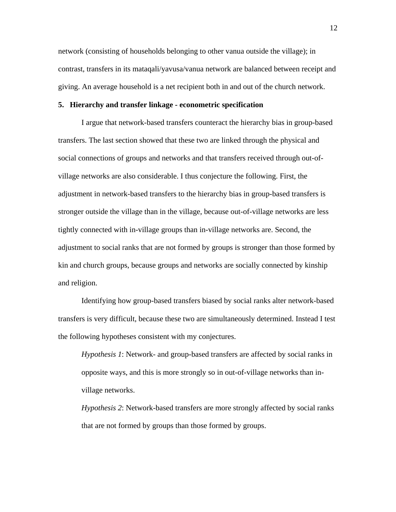network (consisting of households belonging to other vanua outside the village); in contrast, transfers in its mataqali/yavusa/vanua network are balanced between receipt and giving. An average household is a net recipient both in and out of the church network.

#### **5. Hierarchy and transfer linkage - econometric specification**

I argue that network-based transfers counteract the hierarchy bias in group-based transfers. The last section showed that these two are linked through the physical and social connections of groups and networks and that transfers received through out-ofvillage networks are also considerable. I thus conjecture the following. First, the adjustment in network-based transfers to the hierarchy bias in group-based transfers is stronger outside the village than in the village, because out-of-village networks are less tightly connected with in-village groups than in-village networks are. Second, the adjustment to social ranks that are not formed by groups is stronger than those formed by kin and church groups, because groups and networks are socially connected by kinship and religion.

Identifying how group-based transfers biased by social ranks alter network-based transfers is very difficult, because these two are simultaneously determined. Instead I test the following hypotheses consistent with my conjectures.

*Hypothesis 1*: Network- and group-based transfers are affected by social ranks in opposite ways, and this is more strongly so in out-of-village networks than invillage networks.

*Hypothesis 2*: Network-based transfers are more strongly affected by social ranks that are not formed by groups than those formed by groups.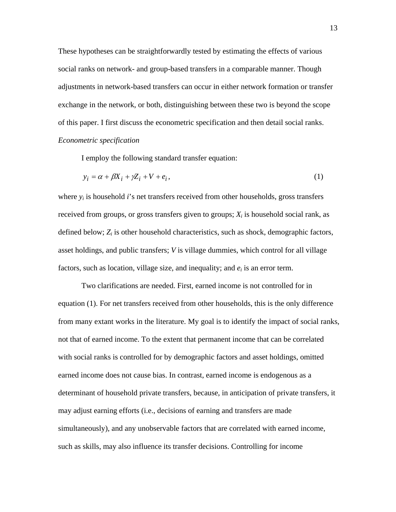These hypotheses can be straightforwardly tested by estimating the effects of various social ranks on network- and group-based transfers in a comparable manner. Though adjustments in network-based transfers can occur in either network formation or transfer exchange in the network, or both, distinguishing between these two is beyond the scope of this paper. I first discuss the econometric specification and then detail social ranks. *Econometric specification* 

I employ the following standard transfer equation:

$$
y_i = \alpha + \beta X_i + \gamma Z_i + V + e_i, \qquad (1)
$$

where  $y_i$  is household  $i$ 's net transfers received from other households, gross transfers received from groups, or gross transfers given to groups;  $X_i$  is household social rank, as defined below;  $Z_i$  is other household characteristics, such as shock, demographic factors, asset holdings, and public transfers; *V* is village dummies, which control for all village factors, such as location, village size, and inequality; and  $e_i$  is an error term.

Two clarifications are needed. First, earned income is not controlled for in equation (1). For net transfers received from other households, this is the only difference from many extant works in the literature. My goal is to identify the impact of social ranks, not that of earned income. To the extent that permanent income that can be correlated with social ranks is controlled for by demographic factors and asset holdings, omitted earned income does not cause bias. In contrast, earned income is endogenous as a determinant of household private transfers, because, in anticipation of private transfers, it may adjust earning efforts (i.e., decisions of earning and transfers are made simultaneously), and any unobservable factors that are correlated with earned income, such as skills, may also influence its transfer decisions. Controlling for income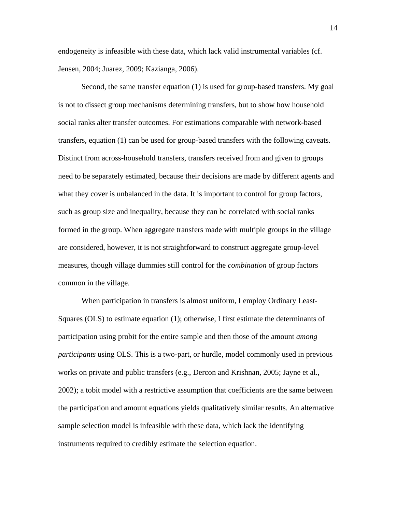endogeneity is infeasible with these data, which lack valid instrumental variables (cf. Jensen, 2004; Juarez, 2009; Kazianga, 2006).

 Second, the same transfer equation (1) is used for group-based transfers. My goal is not to dissect group mechanisms determining transfers, but to show how household social ranks alter transfer outcomes. For estimations comparable with network-based transfers, equation (1) can be used for group-based transfers with the following caveats. Distinct from across-household transfers, transfers received from and given to groups need to be separately estimated, because their decisions are made by different agents and what they cover is unbalanced in the data. It is important to control for group factors, such as group size and inequality, because they can be correlated with social ranks formed in the group. When aggregate transfers made with multiple groups in the village are considered, however, it is not straightforward to construct aggregate group-level measures, though village dummies still control for the *combination* of group factors common in the village.

When participation in transfers is almost uniform, I employ Ordinary Least-Squares (OLS) to estimate equation (1); otherwise, I first estimate the determinants of participation using probit for the entire sample and then those of the amount *among participants* using OLS. This is a two-part, or hurdle, model commonly used in previous works on private and public transfers (e.g., Dercon and Krishnan, 2005; Jayne et al., 2002); a tobit model with a restrictive assumption that coefficients are the same between the participation and amount equations yields qualitatively similar results. An alternative sample selection model is infeasible with these data, which lack the identifying instruments required to credibly estimate the selection equation.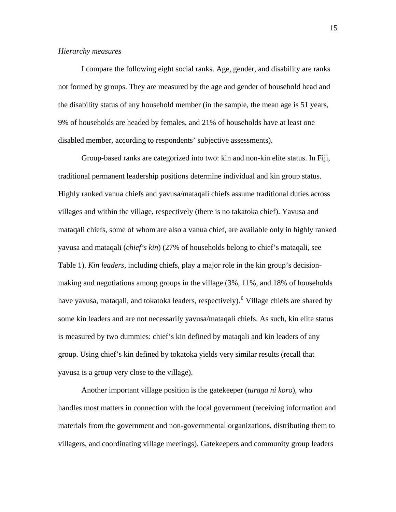#### *Hierarchy measures*

I compare the following eight social ranks. Age, gender, and disability are ranks not formed by groups. They are measured by the age and gender of household head and the disability status of any household member (in the sample, the mean age is 51 years, 9% of households are headed by females, and 21% of households have at least one disabled member, according to respondents' subjective assessments).

Group-based ranks are categorized into two: kin and non-kin elite status. In Fiji, traditional permanent leadership positions determine individual and kin group status. Highly ranked vanua chiefs and yavusa/mataqali chiefs assume traditional duties across villages and within the village, respectively (there is no takatoka chief). Yavusa and mataqali chiefs, some of whom are also a vanua chief, are available only in highly ranked yavusa and mataqali (*chief's kin*) (27% of households belong to chief's mataqali, see Table 1). *Kin leaders*, including chiefs, play a major role in the kin group's decisionmaking and negotiations among groups in the village (3%, 11%, and 18% of households have yavusa, mataqali, and tokatoka leaders, respectively). <sup>[6](#page-30-1)</sup> Village chiefs are shared by some kin leaders and are not necessarily yavusa/mataqali chiefs. As such, kin elite status is measured by two dummies: chief's kin defined by mataqali and kin leaders of any group. Using chief's kin defined by tokatoka yields very similar results (recall that yavusa is a group very close to the village).

Another important village position is the gatekeeper (*turaga ni koro*), who handles most matters in connection with the local government (receiving information and materials from the government and non-governmental organizations, distributing them to villagers, and coordinating village meetings). Gatekeepers and community group leaders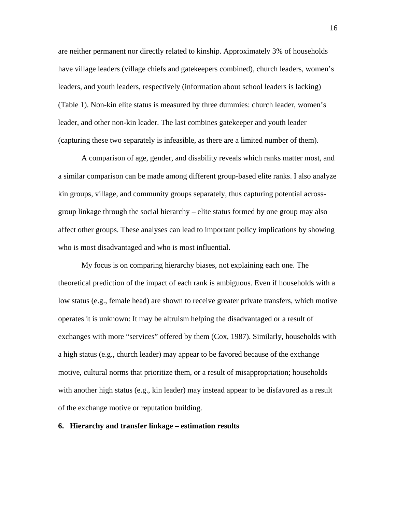are neither permanent nor directly related to kinship. Approximately 3% of households have village leaders (village chiefs and gatekeepers combined), church leaders, women's leaders, and youth leaders, respectively (information about school leaders is lacking) (Table 1). Non-kin elite status is measured by three dummies: church leader, women's leader, and other non-kin leader. The last combines gatekeeper and youth leader (capturing these two separately is infeasible, as there are a limited number of them).

A comparison of age, gender, and disability reveals which ranks matter most, and a similar comparison can be made among different group-based elite ranks. I also analyze kin groups, village, and community groups separately, thus capturing potential acrossgroup linkage through the social hierarchy – elite status formed by one group may also affect other groups. These analyses can lead to important policy implications by showing who is most disadvantaged and who is most influential.

My focus is on comparing hierarchy biases, not explaining each one. The theoretical prediction of the impact of each rank is ambiguous. Even if households with a low status (e.g., female head) are shown to receive greater private transfers, which motive operates it is unknown: It may be altruism helping the disadvantaged or a result of exchanges with more "services" offered by them (Cox, 1987). Similarly, households with a high status (e.g., church leader) may appear to be favored because of the exchange motive, cultural norms that prioritize them, or a result of misappropriation; households with another high status (e.g., kin leader) may instead appear to be disfavored as a result of the exchange motive or reputation building.

### **6. Hierarchy and transfer linkage – estimation results**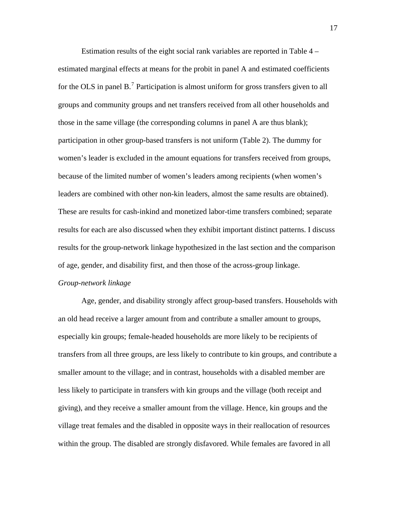Estimation results of the eight social rank variables are reported in Table 4 – estimated marginal effects at means for the probit in panel A and estimated coefficients for the OLS in panel  $B$ .<sup>[7](#page-30-1)</sup> Participation is almost uniform for gross transfers given to all groups and community groups and net transfers received from all other households and those in the same village (the corresponding columns in panel A are thus blank); participation in other group-based transfers is not uniform (Table 2). The dummy for women's leader is excluded in the amount equations for transfers received from groups, because of the limited number of women's leaders among recipients (when women's leaders are combined with other non-kin leaders, almost the same results are obtained). These are results for cash-inkind and monetized labor-time transfers combined; separate results for each are also discussed when they exhibit important distinct patterns. I discuss results for the group-network linkage hypothesized in the last section and the comparison of age, gender, and disability first, and then those of the across-group linkage.

#### *Group-network linkage*

Age, gender, and disability strongly affect group-based transfers. Households with an old head receive a larger amount from and contribute a smaller amount to groups, especially kin groups; female-headed households are more likely to be recipients of transfers from all three groups, are less likely to contribute to kin groups, and contribute a smaller amount to the village; and in contrast, households with a disabled member are less likely to participate in transfers with kin groups and the village (both receipt and giving), and they receive a smaller amount from the village. Hence, kin groups and the village treat females and the disabled in opposite ways in their reallocation of resources within the group. The disabled are strongly disfavored. While females are favored in all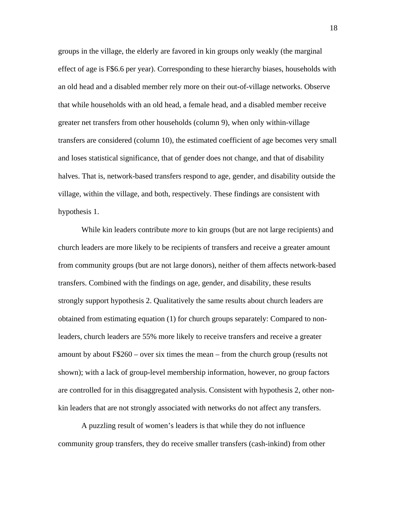groups in the village, the elderly are favored in kin groups only weakly (the marginal effect of age is F\$6.6 per year). Corresponding to these hierarchy biases, households with an old head and a disabled member rely more on their out-of-village networks. Observe that while households with an old head, a female head, and a disabled member receive greater net transfers from other households (column 9), when only within-village transfers are considered (column 10), the estimated coefficient of age becomes very small and loses statistical significance, that of gender does not change, and that of disability halves. That is, network-based transfers respond to age, gender, and disability outside the village, within the village, and both, respectively. These findings are consistent with hypothesis 1.

While kin leaders contribute *more* to kin groups (but are not large recipients) and church leaders are more likely to be recipients of transfers and receive a greater amount from community groups (but are not large donors), neither of them affects network-based transfers. Combined with the findings on age, gender, and disability, these results strongly support hypothesis 2. Qualitatively the same results about church leaders are obtained from estimating equation (1) for church groups separately: Compared to nonleaders, church leaders are 55% more likely to receive transfers and receive a greater amount by about F\$260 – over six times the mean – from the church group (results not shown); with a lack of group-level membership information, however, no group factors are controlled for in this disaggregated analysis. Consistent with hypothesis 2, other nonkin leaders that are not strongly associated with networks do not affect any transfers.

A puzzling result of women's leaders is that while they do not influence community group transfers, they do receive smaller transfers (cash-inkind) from other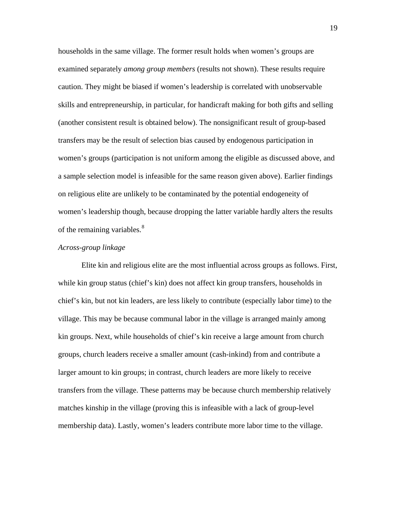households in the same village. The former result holds when women's groups are examined separately *among group members* (results not shown). These results require caution. They might be biased if women's leadership is correlated with unobservable skills and entrepreneurship, in particular, for handicraft making for both gifts and selling (another consistent result is obtained below). The nonsignificant result of group-based transfers may be the result of selection bias caused by endogenous participation in women's groups (participation is not uniform among the eligible as discussed above, and a sample selection model is infeasible for the same reason given above). Earlier findings on religious elite are unlikely to be contaminated by the potential endogeneity of women's leadership though, because dropping the latter variable hardly alters the results of the remaining variables.<sup>[8](#page-30-1)</sup>

#### *Across-group linkage*

Elite kin and religious elite are the most influential across groups as follows. First, while kin group status (chief's kin) does not affect kin group transfers, households in chief's kin, but not kin leaders, are less likely to contribute (especially labor time) to the village. This may be because communal labor in the village is arranged mainly among kin groups. Next, while households of chief's kin receive a large amount from church groups, church leaders receive a smaller amount (cash-inkind) from and contribute a larger amount to kin groups; in contrast, church leaders are more likely to receive transfers from the village. These patterns may be because church membership relatively matches kinship in the village (proving this is infeasible with a lack of group-level membership data). Lastly, women's leaders contribute more labor time to the village.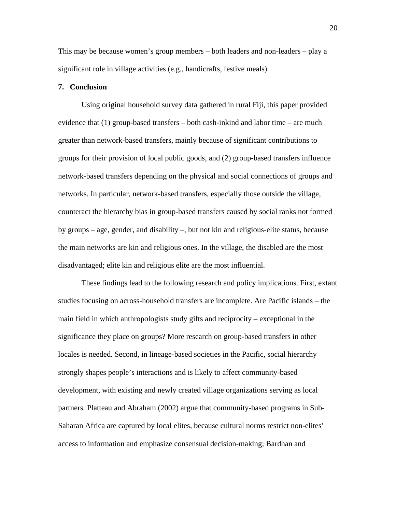This may be because women's group members – both leaders and non-leaders – play a significant role in village activities (e.g., handicrafts, festive meals).

#### **7. Conclusion**

Using original household survey data gathered in rural Fiji, this paper provided evidence that (1) group-based transfers – both cash-inkind and labor time – are much greater than network-based transfers, mainly because of significant contributions to groups for their provision of local public goods, and (2) group-based transfers influence network-based transfers depending on the physical and social connections of groups and networks. In particular, network-based transfers, especially those outside the village, counteract the hierarchy bias in group-based transfers caused by social ranks not formed by groups – age, gender, and disability –, but not kin and religious-elite status, because the main networks are kin and religious ones. In the village, the disabled are the most disadvantaged; elite kin and religious elite are the most influential.

These findings lead to the following research and policy implications. First, extant studies focusing on across-household transfers are incomplete. Are Pacific islands – the main field in which anthropologists study gifts and reciprocity – exceptional in the significance they place on groups? More research on group-based transfers in other locales is needed. Second, in lineage-based societies in the Pacific, social hierarchy strongly shapes people's interactions and is likely to affect community-based development, with existing and newly created village organizations serving as local partners. Platteau and Abraham (2002) argue that community-based programs in Sub-Saharan Africa are captured by local elites, because cultural norms restrict non-elites' access to information and emphasize consensual decision-making; Bardhan and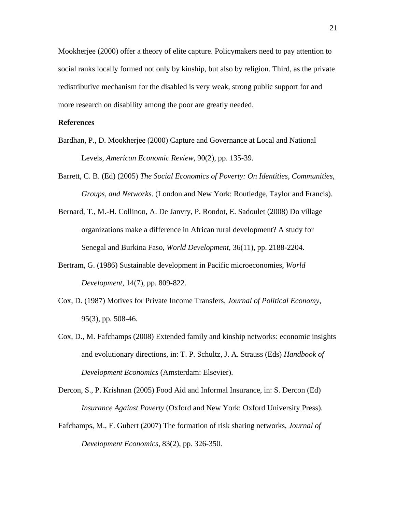Mookherjee (2000) offer a theory of elite capture. Policymakers need to pay attention to social ranks locally formed not only by kinship, but also by religion. Third, as the private redistributive mechanism for the disabled is very weak, strong public support for and more research on disability among the poor are greatly needed.

#### **References**

- Bardhan, P., D. Mookherjee (2000) Capture and Governance at Local and National Levels, *American Economic Review*, 90(2), pp. 135-39.
- Barrett, C. B. (Ed) (2005) *The Social Economics of Poverty: On Identities, Communities, Groups, and Networks*. (London and New York: Routledge, Taylor and Francis).
- Bernard, T., M.-H. Collinon, A. De Janvry, P. Rondot, E. Sadoulet (2008) Do village organizations make a difference in African rural development? A study for Senegal and Burkina Faso, *World Development*, 36(11), pp. 2188-2204.
- Bertram, G. (1986) Sustainable development in Pacific microeconomies, *World Development*, 14(7), pp. 809-822.
- Cox, D. (1987) Motives for Private Income Transfers, *Journal of Political Economy*, 95(3), pp. 508-46.
- Cox, D., M. Fafchamps (2008) Extended family and kinship networks: economic insights and evolutionary directions, in: T. P. Schultz, J. A. Strauss (Eds) *Handbook of Development Economics* (Amsterdam: Elsevier).

Dercon, S., P. Krishnan (2005) Food Aid and Informal Insurance, in: S. Dercon (Ed) *Insurance Against Poverty* (Oxford and New York: Oxford University Press).

Fafchamps, M., F. Gubert (2007) The formation of risk sharing networks, *Journal of Development Economics*, 83(2), pp. 326-350.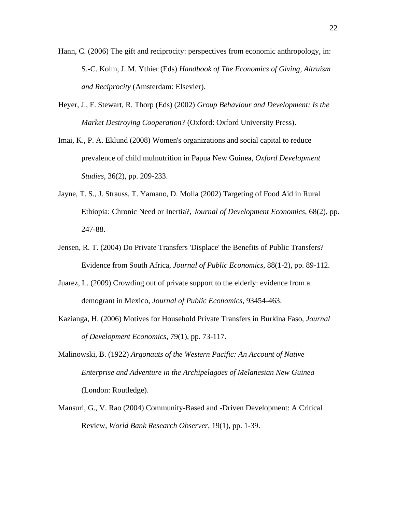- Hann, C. (2006) The gift and reciprocity: perspectives from economic anthropology, in: S.-C. Kolm, J. M. Ythier (Eds) *Handbook of The Economics of Giving, Altruism and Reciprocity* (Amsterdam: Elsevier).
- Heyer, J., F. Stewart, R. Thorp (Eds) (2002) *Group Behaviour and Development: Is the Market Destroying Cooperation?* (Oxford: Oxford University Press).
- Imai, K., P. A. Eklund (2008) Women's organizations and social capital to reduce prevalence of child mulnutrition in Papua New Guinea, *Oxford Development Studies*, 36(2), pp. 209-233.
- Jayne, T. S., J. Strauss, T. Yamano, D. Molla (2002) Targeting of Food Aid in Rural Ethiopia: Chronic Need or Inertia?, *Journal of Development Economics*, 68(2), pp. 247-88.
- Jensen, R. T. (2004) Do Private Transfers 'Displace' the Benefits of Public Transfers? Evidence from South Africa, *Journal of Public Economics*, 88(1-2), pp. 89-112.
- Juarez, L. (2009) Crowding out of private support to the elderly: evidence from a demogrant in Mexico, *Journal of Public Economics*, 93454-463.
- Kazianga, H. (2006) Motives for Household Private Transfers in Burkina Faso, *Journal of Development Economics*, 79(1), pp. 73-117.
- Malinowski, B. (1922) *Argonauts of the Western Pacific: An Account of Native Enterprise and Adventure in the Archipelagoes of Melanesian New Guinea* (London: Routledge).
- Mansuri, G., V. Rao (2004) Community-Based and -Driven Development: A Critical Review, *World Bank Research Observer*, 19(1), pp. 1-39.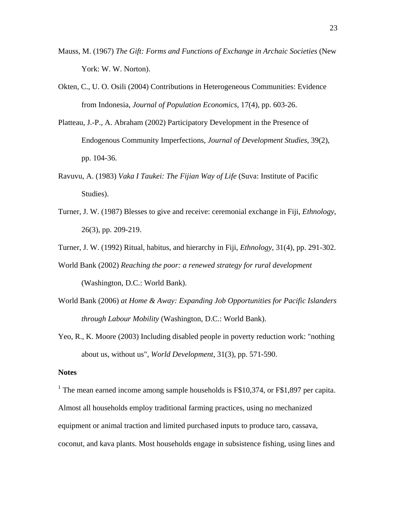- Mauss, M. (1967) *The Gift: Forms and Functions of Exchange in Archaic Societies* (New York: W. W. Norton).
- Okten, C., U. O. Osili (2004) Contributions in Heterogeneous Communities: Evidence from Indonesia, *Journal of Population Economics*, 17(4), pp. 603-26.
- Platteau, J.-P., A. Abraham (2002) Participatory Development in the Presence of Endogenous Community Imperfections, *Journal of Development Studies*, 39(2), pp. 104-36.
- Ravuvu, A. (1983) *Vaka I Taukei: The Fijian Way of Life* (Suva: Institute of Pacific Studies).
- Turner, J. W. (1987) Blesses to give and receive: ceremonial exchange in Fiji, *Ethnology*, 26(3), pp. 209-219.
- Turner, J. W. (1992) Ritual, habitus, and hierarchy in Fiji, *Ethnology*, 31(4), pp. 291-302.
- World Bank (2002) *Reaching the poor: a renewed strategy for rural development* (Washington, D.C.: World Bank).
- World Bank (2006) *at Home & Away: Expanding Job Opportunities for Pacific Islanders through Labour Mobility* (Washington, D.C.: World Bank).
- Yeo, R., K. Moore (2003) Including disabled people in poverty reduction work: "nothing about us, without us", *World Development*, 31(3), pp. 571-590.

#### **Notes**

<sup>1</sup> The mean earned income among sample households is  $F$10,374$ , or  $F$1,897$  per capita. Almost all households employ traditional farming practices, using no mechanized equipment or animal traction and limited purchased inputs to produce taro, cassava, coconut, and kava plants. Most households engage in subsistence fishing, using lines and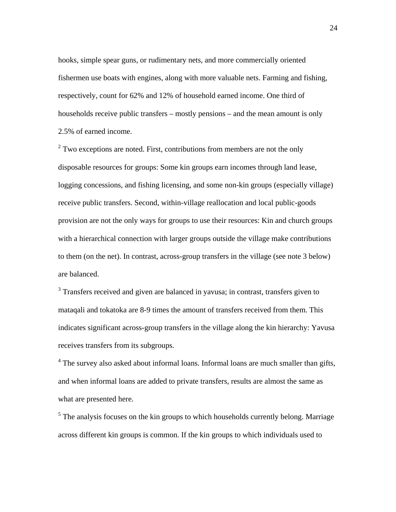hooks, simple spear guns, or rudimentary nets, and more commercially oriented fishermen use boats with engines, along with more valuable nets. Farming and fishing, respectively, count for 62% and 12% of household earned income. One third of households receive public transfers – mostly pensions – and the mean amount is only 2.5% of earned income.

 $2^2$  Two exceptions are noted. First, contributions from members are not the only disposable resources for groups: Some kin groups earn incomes through land lease, logging concessions, and fishing licensing, and some non-kin groups (especially village) receive public transfers. Second, within-village reallocation and local public-goods provision are not the only ways for groups to use their resources: Kin and church groups with a hierarchical connection with larger groups outside the village make contributions to them (on the net). In contrast, across-group transfers in the village (see note 3 below) are balanced.

 $3$  Transfers received and given are balanced in yavusa; in contrast, transfers given to mataqali and tokatoka are 8-9 times the amount of transfers received from them. This indicates significant across-group transfers in the village along the kin hierarchy: Yavusa receives transfers from its subgroups.

<sup>4</sup> The survey also asked about informal loans. Informal loans are much smaller than gifts, and when informal loans are added to private transfers, results are almost the same as what are presented here.

 $<sup>5</sup>$  The analysis focuses on the kin groups to which households currently belong. Marriage</sup> across different kin groups is common. If the kin groups to which individuals used to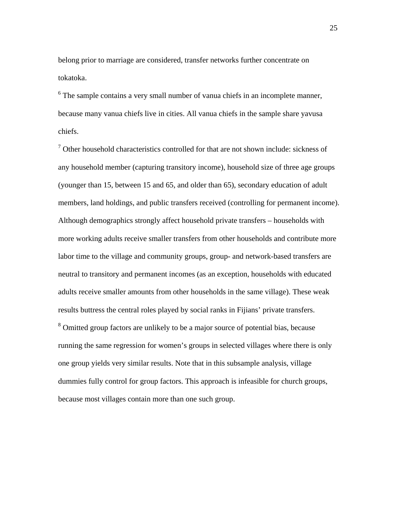belong prior to marriage are considered, transfer networks further concentrate on tokatoka.

<sup>6</sup> The sample contains a very small number of vanua chiefs in an incomplete manner, because many vanua chiefs live in cities. All vanua chiefs in the sample share yavusa chiefs.

 $<sup>7</sup>$  Other household characteristics controlled for that are not shown include: sickness of</sup> any household member (capturing transitory income), household size of three age groups (younger than 15, between 15 and 65, and older than 65), secondary education of adult members, land holdings, and public transfers received (controlling for permanent income). Although demographics strongly affect household private transfers – households with more working adults receive smaller transfers from other households and contribute more labor time to the village and community groups, group- and network-based transfers are neutral to transitory and permanent incomes (as an exception, households with educated adults receive smaller amounts from other households in the same village). These weak results buttress the central roles played by social ranks in Fijians' private transfers. <sup>8</sup> Omitted group factors are unlikely to be a major source of potential bias, because running the same regression for women's groups in selected villages where there is only one group yields very similar results. Note that in this subsample analysis, village dummies fully control for group factors. This approach is infeasible for church groups, because most villages contain more than one such group.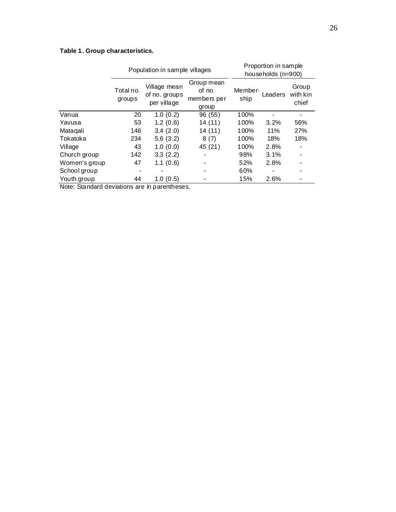### **Table 1. Group characteristics.**

|                                               |                     | Population in sample villages                | Proportion in sample<br>households (n=900)   |      |                    |                            |  |
|-----------------------------------------------|---------------------|----------------------------------------------|----------------------------------------------|------|--------------------|----------------------------|--|
|                                               | Total no.<br>groups | Village mean<br>of no. groups<br>per village | Group mean<br>of no.<br>members per<br>group |      | Member-<br>Leaders | Group<br>with kin<br>chief |  |
| Vanua                                         | 20                  | 1.0(0.2)                                     | 96 (55)                                      | 100% |                    |                            |  |
| Yavusa                                        | 53                  | 1.2(0.6)                                     | 14 (11)                                      | 100% | 3.2%               | 56%                        |  |
| Matagali                                      | 146                 | 3.4(2.0)                                     | 14 (11)                                      | 100% | 11%                | 27%                        |  |
| Tokatoka                                      | 234                 | 5.6(3.2)                                     | 8(7)                                         | 100% | 18%                | 18%                        |  |
| Village                                       | 43                  | 1.0(0.0)                                     | 45 (21)                                      | 100% | 2.8%               |                            |  |
| Church group                                  | 142                 | 3.3(2.2)                                     |                                              | 98%  | 3.1%               |                            |  |
| Women's group                                 | 47                  | 1.1(0.6)                                     |                                              | 52%  | 2.8%               |                            |  |
| School group                                  |                     |                                              |                                              | 60%  |                    | -                          |  |
| Youth group                                   | 44                  | 1.0(0.5)                                     |                                              | 15%  | 2.6%               |                            |  |
| Note: Standard deviations are in parentheses. |                     |                                              |                                              |      |                    |                            |  |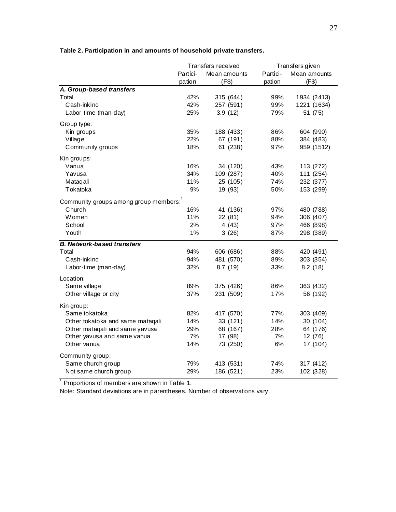|                                                    |          | Transfers received | Transfers given |              |  |
|----------------------------------------------------|----------|--------------------|-----------------|--------------|--|
|                                                    | Partici- | Mean amounts       | Partici-        | Mean amounts |  |
|                                                    | pation   | (F\$)              | pation          | (F\$)        |  |
| A. Group-based transfers                           |          |                    |                 |              |  |
| Total                                              | 42%      | 315 (644)          | 99%             | 1934 (2413)  |  |
| Cash-inkind                                        | 42%      | 257 (591)          | 99%             | 1221 (1634)  |  |
| Labor-time (man-day)                               | 25%      | 3.9(12)            | 79%             | 51 (75)      |  |
| Group type:                                        |          |                    |                 |              |  |
| Kin groups                                         | 35%      | 188 (433)          | 86%             | 604 (990)    |  |
| Village                                            | 22%      | 67 (191)           | 88%             | 384 (483)    |  |
| Community groups                                   | 18%      | 61 (238)           | 97%             | 959 (1512)   |  |
| Kin groups:                                        |          |                    |                 |              |  |
| Vanua                                              | 16%      | 34 (120)           | 43%             | 113 (272)    |  |
| Yavusa                                             | 34%      | 109 (287)          | 40%             | 111 (254)    |  |
| Mataqali                                           | 11%      | 25 (105)           | 74%             | 232 (377)    |  |
| Tokatoka                                           | 9%       | 19 (93)            | 50%             | 153 (299)    |  |
| Community groups among group members: <sup>1</sup> |          |                    |                 |              |  |
| Church                                             | 16%      | 41 (136)           | 97%             | 480 (788)    |  |
| Women                                              | 11%      | 22 (81)            | 94%             | 306 (407)    |  |
| School                                             | 2%       | 4(43)              | 97%             | 466 (898)    |  |
| Youth                                              | 1%       | 3(26)              | 87%             | 298 (389)    |  |
| <b>B. Network-based transfers</b>                  |          |                    |                 |              |  |
| Total                                              | 94%      | 606 (686)          | 88%             | 420 (491)    |  |
| Cash-inkind                                        | 94%      | 481 (570)          | 89%             | 303 (354)    |  |
| Labor-time (man-day)                               | 32%      | 8.7 (19)           | 33%             | 8.2(18)      |  |
| Location:                                          |          |                    |                 |              |  |
| Same village                                       | 89%      | 375 (426)          | 86%             | 363 (432)    |  |
| Other village or city                              | 37%      | 231 (509)          | 17%             | 56 (192)     |  |
| Kin group:                                         |          |                    |                 |              |  |
| Same tokatoka                                      | 82%      | 417 (570)          | 77%             | 303 (409)    |  |
| Other tokatoka and same mataqali                   | 14%      | 33 (121)           | 14%             | 30 (104)     |  |
| Other mataqali and same yavusa                     | 29%      | 68 (167)           | 28%             | 64 (176)     |  |
| Other yavusa and same vanua                        | 7%       | 17 (98)            | 7%              | 12 (76)      |  |
| Other vanua                                        | 14%      | 73 (250)           | 6%              | 17 (104)     |  |
| Community group:                                   |          |                    |                 |              |  |
| Same church group                                  | 79%      | 413 (531)          | 74%             | 317 (412)    |  |
| Not same church group                              | 29%      | 186 (521)          | 23%             | 102 (328)    |  |

### **Table 2. Participation in and amounts of household private transfers.**

 $1$  Proportions of members are shown in Table 1.

Note: Standard deviations are in parentheses. Number of observations vary.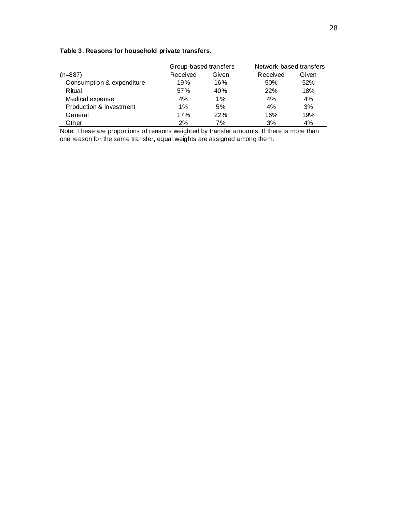### **Table 3. Reasons for household private transfers.**

|                           | Group-based transfers |       | Network-based transfers |       |  |
|---------------------------|-----------------------|-------|-------------------------|-------|--|
| (n=887)                   | Received              | Given | Received                | Given |  |
| Consumption & expenditure | 19%                   | 16%   | 50%                     | 52%   |  |
| Ritual                    | 57%                   | 40%   | 22%                     | 18%   |  |
| Medical expense           | 4%                    | 1%    | 4%                      | 4%    |  |
| Production & investment   | 1%                    | 5%    | 4%                      | 3%    |  |
| General                   | 17%                   | 22%   | 16%                     | 19%   |  |
| Other                     | 2%                    | 7%    | 3%                      | 4%    |  |

Note: These are proportions of reasons weighted by transfer amounts. If there is more than one reason for the same transfer, equal weights are assigned among them.